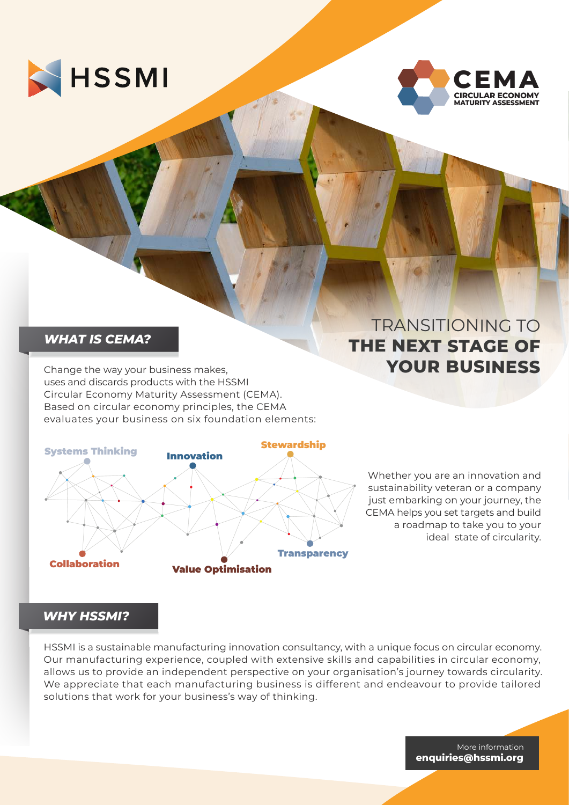



#### *WHAT IS CEMA?*

Change the way your business makes, uses and discards products with the HSSMI Circular Economy Maturity Assessment (CEMA). Based on circular economy principles, the CEMA evaluates your business on six foundation elements:



# TRANSITIONING TO **THE NEXT STAGE OF YOUR BUSINESS**

Whether you are an innovation and sustainability veteran or a company just embarking on your journey, the CEMA helps you set targets and build a roadmap to take you to your ideal state of circularity.

# *WHY HSSMI?*

HSSMI is a sustainable manufacturing innovation consultancy, with a unique focus on circular economy. Our manufacturing experience, coupled with extensive skills and capabilities in circular economy, allows us to provide an independent perspective on your organisation's journey towards circularity. We appreciate that each manufacturing business is different and endeavour to provide tailored solutions that work for your business's way of thinking.

> More information **enquiries@hssmi.org**